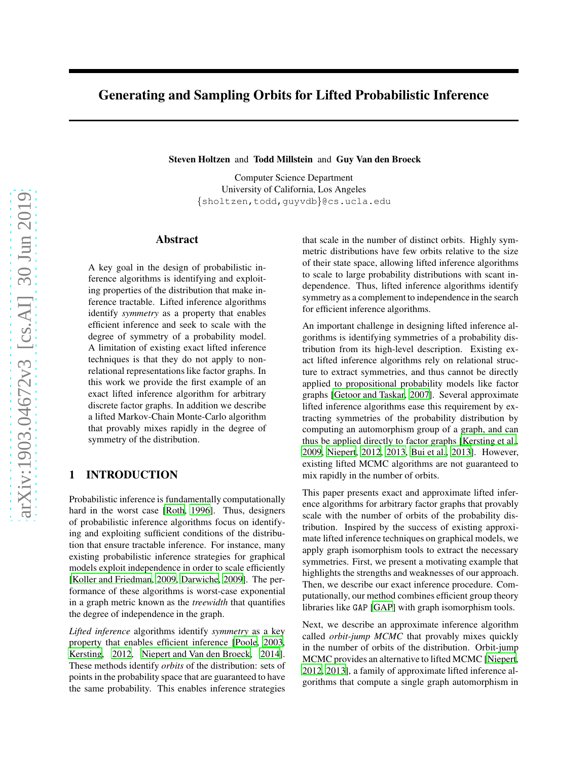# Generating and Sampling Orbits for Lifted Probabilistic Inference

Steven Holtzen and Todd Millstein and Guy Van den Broeck

Computer Science Department University of California, Los Angeles {sholtzen,todd,guyvdb}@cs.ucla.edu

## Abstract

A key goal in the design of probabilistic inference algorithms is identifying and exploiting properties of the distribution that make inference tractable. Lifted inference algorithms identify *symmetry* as a property that enables efficient inference and seek to scale with the degree of symmetry of a probability model. A limitation of existing exact lifted inference techniques is that they do not apply to nonrelational representations like factor graphs. In this work we provide the first example of an exact lifted inference algorithm for arbitrary discrete factor graphs. In addition we describe a lifted Markov-Chain Monte-Carlo algorithm that provably mixes rapidly in the degree of symmetry of the distribution.

## 1 INTRODUCTION

Probabilistic inference is fundamentally computationally hard in the worst case [\[Roth](#page-9-0), [1996\]](#page-9-0). Thus, designers of probabilistic inference algorithms focus on identifying and exploiting sufficient conditions of the distribution that ensure tractable inference. For instance, many existing probabilistic inference strategies for graphical models exploit independence in order to scale efficiently [\[Koller and Friedman, 2009](#page-9-1), [Darwiche, 2009\]](#page-9-2). The performance of these algorithms is worst-case exponential in a graph metric known as the *treewidth* that quantifies the degree of independence in the graph.

*Lifted inference* algorithms identify *symmetry* as a key property that enables efficient inference [\[Poole, 2003,](#page-9-3) [Kersting](#page-9-4), [2012,](#page-9-4) [Niepert and Van den Broeck, 2014](#page-9-5)]. These methods identify *orbits* of the distribution: sets of points in the probability space that are guaranteed to have the same probability. This enables inference strategies that scale in the number of distinct orbits. Highly symmetric distributions have few orbits relative to the size of their state space, allowing lifted inference algorithms to scale to large probability distributions with scant independence. Thus, lifted inference algorithms identify symmetry as a complement to independence in the search for efficient inference algorithms.

An important challenge in designing lifted inference algorithms is identifying symmetries of a probability distribution from its high-level description. Existing exact lifted inference algorithms rely on relational structure to extract symmetries, and thus cannot be directly applied to propositional probability models like factor graphs [\[Getoor and Taskar](#page-9-6), [2007\]](#page-9-6). Several approximate lifted inference algorithms ease this requirement by extracting symmetries of the probability distribution by computing an automorphism group of a graph, and can thus be applied directly to factor graphs [\[Kersting et al.,](#page-9-7) [2009,](#page-9-7) [Niepert, 2012,](#page-9-8) [2013,](#page-9-9) [Bui et al., 2013\]](#page-9-10). However, existing lifted MCMC algorithms are not guaranteed to mix rapidly in the number of orbits.

This paper presents exact and approximate lifted inference algorithms for arbitrary factor graphs that provably scale with the number of orbits of the probability distribution. Inspired by the success of existing approximate lifted inference techniques on graphical models, we apply graph isomorphism tools to extract the necessary symmetries. First, we present a motivating example that highlights the strengths and weaknesses of our approach. Then, we describe our exact inference procedure. Computationally, our method combines efficient group theory libraries like GAP [\[GAP\]](#page-9-11) with graph isomorphism tools.

Next, we describe an approximate inference algorithm called *orbit-jump MCMC* that provably mixes quickly in the number of orbits of the distribution. Orbit-jump MCMC provides an alternative to lifted MCMC [\[Niepert,](#page-9-8) [2012,](#page-9-8) [2013\]](#page-9-9), a family of approximate lifted inference algorithms that compute a single graph automorphism in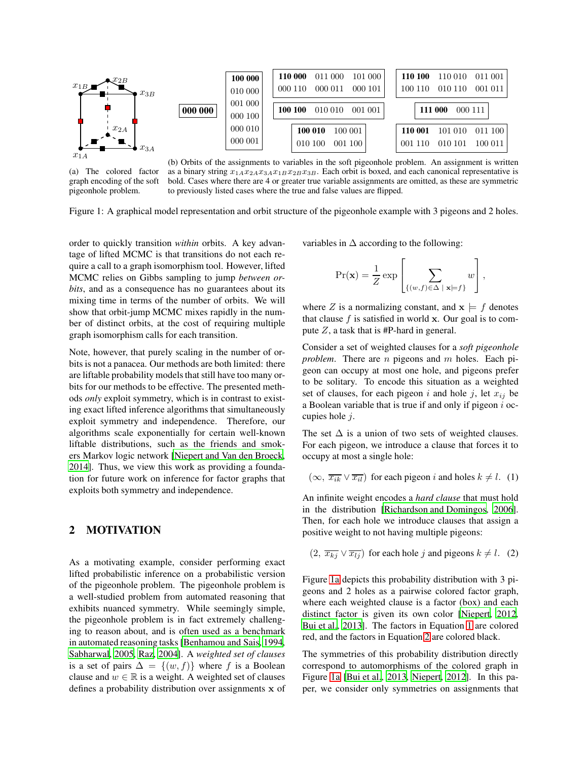<span id="page-1-0"></span>

(a) The colored factor graph encoding of the soft (b) Orbits of the assignments to variables in the soft pigeonhole problem. An assignment is written as a binary string  $x_{1A}x_{2A}x_{3A}x_{1B}x_{2B}x_{3B}$ . Each orbit is boxed, and each canonical representative is bold. Cases where there are 4 or greater true variable assignments are omitted, as these are symmetric to previously listed cases where the true and false values are flipped.

Figure 1: A graphical model representation and orbit structure of the pigeonhole example with 3 pigeons and 2 holes.

order to quickly transition *within* orbits. A key advantage of lifted MCMC is that transitions do not each require a call to a graph isomorphism tool. However, lifted MCMC relies on Gibbs sampling to jump *between orbits*, and as a consequence has no guarantees about its mixing time in terms of the number of orbits. We will show that orbit-jump MCMC mixes rapidly in the number of distinct orbits, at the cost of requiring multiple graph isomorphism calls for each transition.

Note, however, that purely scaling in the number of orbits is not a panacea. Our methods are both limited: there are liftable probability models that still have too many orbits for our methods to be effective. The presented methods *only* exploit symmetry, which is in contrast to existing exact lifted inference algorithms that simultaneously exploit symmetry and independence. Therefore, our algorithms scale exponentially for certain well-known liftable distributions, such as the friends and smokers Markov logic network [\[Niepert and Van den Broeck,](#page-9-5) [2014\]](#page-9-5). Thus, we view this work as providing a foundation for future work on inference for factor graphs that exploits both symmetry and independence.

## <span id="page-1-3"></span>2 MOTIVATION

pigeonhole problem.

As a motivating example, consider performing exact lifted probabilistic inference on a probabilistic version of the pigeonhole problem. The pigeonhole problem is a well-studied problem from automated reasoning that exhibits nuanced symmetry. While seemingly simple, the pigeonhole problem is in fact extremely challenging to reason about, and is often used as a benchmark in automated reasoning tasks [\[Benhamou and Sais](#page-9-12), [1994,](#page-9-12) [Sabharwal, 2005](#page-9-13), [Raz, 2004](#page-9-14)]. A *weighted set of clauses* is a set of pairs  $\Delta = \{(w, f)\}\$  where f is a Boolean clause and  $w \in \mathbb{R}$  is a weight. A weighted set of clauses defines a probability distribution over assignments x of variables in  $\Delta$  according to the following:

$$
\Pr(\mathbf{x}) = \frac{1}{Z} \exp \left[ \sum_{\{(w,f) \in \Delta \mid \mathbf{x} \models f\}} w \right],
$$

where Z is a normalizing constant, and  $x \models f$  denotes that clause  $f$  is satisfied in world x. Our goal is to compute  $Z$ , a task that is #P-hard in general.

Consider a set of weighted clauses for a *soft pigeonhole problem*. There are *n* pigeons and *m* holes. Each pigeon can occupy at most one hole, and pigeons prefer to be solitary. To encode this situation as a weighted set of clauses, for each pigeon i and hole j, let  $x_{ij}$  be a Boolean variable that is true if and only if pigeon  $i$  occupies hole  $i$ .

The set  $\Delta$  is a union of two sets of weighted clauses. For each pigeon, we introduce a clause that forces it to occupy at most a single hole:

<span id="page-1-1"></span> $(\infty, \overline{x_{ik}} \vee \overline{x_{il}})$  for each pigeon i and holes  $k \neq l$ . (1)

An infinite weight encodes a *hard clause* that must hold in the distribution [\[Richardson and Domingos, 2006](#page-9-15)]. Then, for each hole we introduce clauses that assign a positive weight to not having multiple pigeons:

<span id="page-1-2"></span> $(2, \overline{x_{kj}} \vee \overline{x_{lj}})$  for each hole j and pigeons  $k \neq l$ . (2)

Figure [1a](#page-1-0) depicts this probability distribution with 3 pigeons and 2 holes as a pairwise colored factor graph, where each weighted clause is a factor (box) and each distinct factor is given its own color [\[Niepert](#page-9-8), [2012,](#page-9-8) [Bui et al.](#page-9-10), [2013\]](#page-9-10). The factors in Equation [1](#page-1-1) are colored red, and the factors in Equation [2](#page-1-2) are colored black.

The symmetries of this probability distribution directly correspond to automorphisms of the colored graph in Figure [1a](#page-1-0) [\[Bui et al.](#page-9-10), [2013](#page-9-10), [Niepert](#page-9-8), [2012](#page-9-8)]. In this paper, we consider only symmetries on assignments that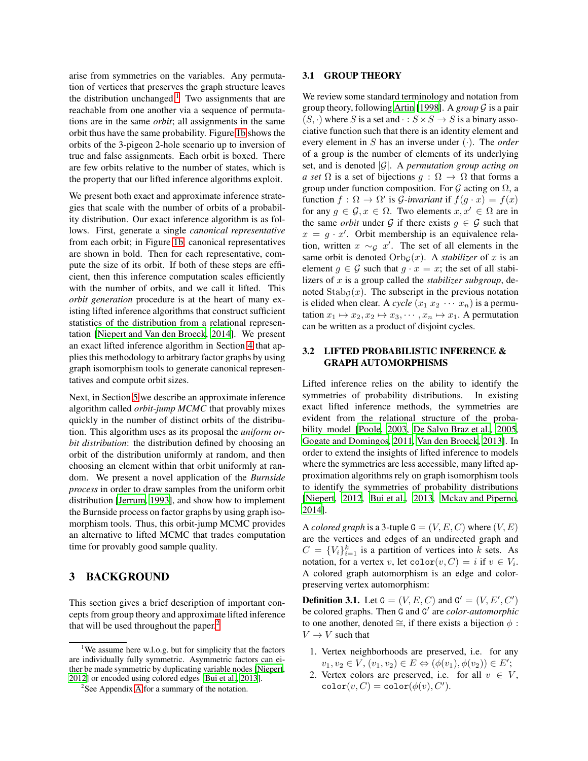arise from symmetries on the variables. Any permutation of vertices that preserves the graph structure leaves the distribution unchanged.<sup>[1](#page-2-0)</sup> Two assignments that are reachable from one another via a sequence of permutations are in the same *orbit*; all assignments in the same orbit thus have the same probability. Figure [1b](#page-1-0) shows the orbits of the 3-pigeon 2-hole scenario up to inversion of true and false assignments. Each orbit is boxed. There are few orbits relative to the number of states, which is the property that our lifted inference algorithms exploit.

We present both exact and approximate inference strategies that scale with the number of orbits of a probability distribution. Our exact inference algorithm is as follows. First, generate a single *canonical representative* from each orbit; in Figure [1b,](#page-1-0) canonical representatives are shown in bold. Then for each representative, compute the size of its orbit. If both of these steps are efficient, then this inference computation scales efficiently with the number of orbits, and we call it lifted. This *orbit generation* procedure is at the heart of many existing lifted inference algorithms that construct sufficient statistics of the distribution from a relational representation [\[Niepert and Van den Broeck](#page-9-5), [2014](#page-9-5)]. We present an exact lifted inference algorithm in Section [4](#page-3-0) that applies this methodology to arbitrary factor graphs by using graph isomorphism tools to generate canonical representatives and compute orbit sizes.

Next, in Section [5](#page-6-0) we describe an approximate inference algorithm called *orbit-jump MCMC* that provably mixes quickly in the number of distinct orbits of the distribution. This algorithm uses as its proposal the *uniform orbit distribution*: the distribution defined by choosing an orbit of the distribution uniformly at random, and then choosing an element within that orbit uniformly at random. We present a novel application of the *Burnside process* in order to draw samples from the uniform orbit distribution [\[Jerrum](#page-9-16), [1993](#page-9-16)], and show how to implement the Burnside process on factor graphs by using graph isomorphism tools. Thus, this orbit-jump MCMC provides an alternative to lifted MCMC that trades computation time for provably good sample quality.

## 3 BACKGROUND

This section gives a brief description of important concepts from group theory and approximate lifted inference that will be used throughout the paper. $<sup>2</sup>$  $<sup>2</sup>$  $<sup>2</sup>$ </sup>

#### 3.1 GROUP THEORY

We review some standard terminology and notation from group theory, following [Artin \[1998\]](#page-9-17). A *group* G is a pair  $(S, \cdot)$  where S is a set and  $\cdot : S \times S \rightarrow S$  is a binary associative function such that there is an identity element and every element in S has an inverse under (·). The *order* of a group is the number of elements of its underlying set, and is denoted |G|. A *permutation group acting on a set*  $\Omega$  is a set of bijections  $q : \Omega \to \Omega$  that forms a group under function composition. For  $G$  acting on  $\Omega$ , a function  $f : \Omega \to \Omega'$  is *G*-invariant if  $f(g \cdot x) = f(x)$ for any  $g \in \mathcal{G}, x \in \Omega$ . Two elements  $x, x' \in \Omega$  are in the same *orbit* under G if there exists  $g \in \mathcal{G}$  such that  $x = g \cdot x'$ . Orbit membership is an equivalence relation, written  $x \sim_{\mathcal{G}} x'$ . The set of all elements in the same orbit is denoted  $Orb_G(x)$ . A *stabilizer* of x is an element  $g \in \mathcal{G}$  such that  $g \cdot x = x$ ; the set of all stabilizers of x is a group called the *stabilizer subgroup*, denoted  $\text{Stab}_{\mathcal{G}}(x)$ . The subscript in the previous notation is elided when clear. A *cycle*  $(x_1 x_2 \cdots x_n)$  is a permutation  $x_1 \mapsto x_2, x_2 \mapsto x_3, \dots, x_n \mapsto x_1$ . A permutation can be written as a product of disjoint cycles.

### 3.2 LIFTED PROBABILISTIC INFERENCE & GRAPH AUTOMORPHISMS

Lifted inference relies on the ability to identify the symmetries of probability distributions. In existing exact lifted inference methods, the symmetries are evident from the relational structure of the probability model [\[Poole](#page-9-3), [2003,](#page-9-3) [De Salvo Braz et al.](#page-9-18), [2005,](#page-9-18) [Gogate and Domingos, 2011,](#page-9-19) [Van den Broeck](#page-10-0), [2013\]](#page-10-0). In order to extend the insights of lifted inference to models where the symmetries are less accessible, many lifted approximation algorithms rely on graph isomorphism tools to identify the symmetries of probability distributions [\[Niepert](#page-9-8), [2012,](#page-9-8) [Bui et al., 2013,](#page-9-10) [Mckay and Piperno,](#page-9-20) [2014\]](#page-9-20).

A *colored graph* is a 3-tuple  $G = (V, E, C)$  where  $(V, E)$ are the vertices and edges of an undirected graph and  $C = \{V_i\}_{i=1}^k$  is a partition of vertices into k sets. As notation, for a vertex v, let  $\text{color}(v, C) = i$  if  $v \in V_i$ . A colored graph automorphism is an edge and colorpreserving vertex automorphism:

**Definition 3.1.** Let  $G = (V, E, C)$  and  $G' = (V, E', C')$ be colored graphs. Then G and G' are *color-automorphic* to one another, denoted  $\cong$ , if there exists a bijection  $\phi$ :  $V \rightarrow V$  such that

- 1. Vertex neighborhoods are preserved, i.e. for any  $v_1, v_2 \in V, (v_1, v_2) \in E \Leftrightarrow (\phi(v_1), \phi(v_2)) \in E';$
- 2. Vertex colors are preserved, i.e. for all  $v \in V$ ,  $\text{color}(v, C) = \text{color}(\phi(v), C').$

<span id="page-2-0"></span><sup>&</sup>lt;sup>1</sup>We assume here w.l.o.g. but for simplicity that the factors are individually fully symmetric. Asymmetric factors can either be made symmetric by duplicating variable nodes [\[Niepert,](#page-9-8) [2012\]](#page-9-8) or encoded using colored edges [\[Bui et al.](#page-9-10), [2013](#page-9-10)].

<span id="page-2-1"></span><sup>&</sup>lt;sup>2</sup>See [A](#page-11-0)ppendix A for a summary of the notation.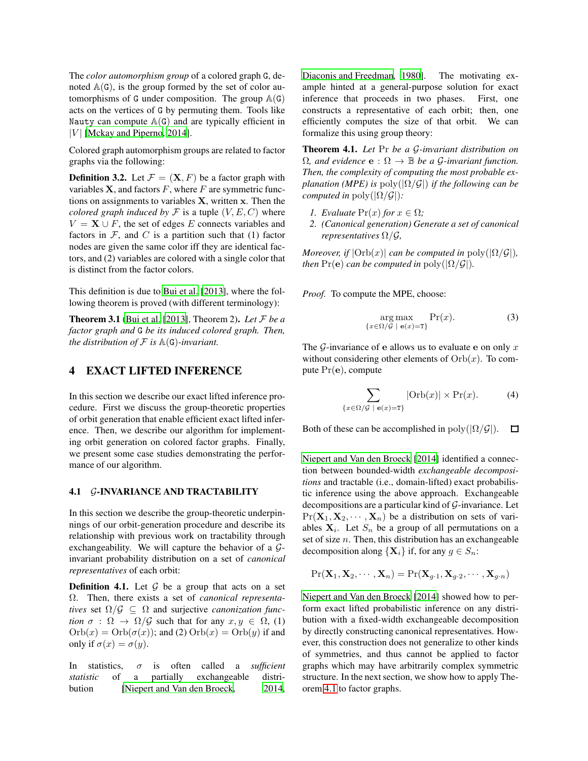The *color automorphism group* of a colored graph G, denoted  $A(G)$ , is the group formed by the set of color automorphisms of G under composition. The group  $\mathbb{A}(G)$ acts on the vertices of G by permuting them. Tools like Nauty can compute  $A(G)$  and are typically efficient in | $V$ | [\[Mckay and Piperno, 2014\]](#page-9-20).

Colored graph automorphism groups are related to factor graphs via the following:

**Definition 3.2.** Let  $\mathcal{F} = (\mathbf{X}, F)$  be a factor graph with variables  $X$ , and factors  $F$ , where  $F$  are symmetric functions on assignments to variables  $X$ , written  $x$ . Then the *colored graph induced by*  $\mathcal F$  is a tuple  $(V, E, C)$  where  $V = \mathbf{X} \cup F$ , the set of edges E connects variables and factors in  $\mathcal F$ , and  $C$  is a partition such that (1) factor nodes are given the same color iff they are identical factors, and (2) variables are colored with a single color that is distinct from the factor colors.

This definition is due to [Bui et al. \[2013\]](#page-9-10), where the following theorem is proved (with different terminology):

Theorem 3.1 [\(Bui et al. \[2013\]](#page-9-10), Theorem 2). *Let* F *be a factor graph and* G *be its induced colored graph. Then, the distribution of*  $F$  *is*  $\mathbb{A}(G)$ *-invariant.* 

## <span id="page-3-0"></span>4 EXACT LIFTED INFERENCE

In this section we describe our exact lifted inference procedure. First we discuss the group-theoretic properties of orbit generation that enable efficient exact lifted inference. Then, we describe our algorithm for implementing orbit generation on colored factor graphs. Finally, we present some case studies demonstrating the performance of our algorithm.

#### 4.1 G-INVARIANCE AND TRACTABILITY

In this section we describe the group-theoretic underpinnings of our orbit-generation procedure and describe its relationship with previous work on tractability through exchangeability. We will capture the behavior of a  $\mathcal{G}$ invariant probability distribution on a set of *canonical representatives* of each orbit:

**Definition 4.1.** Let  $G$  be a group that acts on a set Ω. Then, there exists a set of *canonical representatives* set  $\Omega/\mathcal{G} \subseteq \Omega$  and surjective *canonization function*  $\sigma$  :  $\Omega \to \Omega/G$  such that for any  $x, y \in \Omega$ , (1)  $Orb(x) = Orb(\sigma(x))$ ; and (2)  $Orb(x) = Orb(y)$  if and only if  $\sigma(x) = \sigma(y)$ .

In statistics, σ is often called a *sufficient statistic* of a partially exchangeable distribution [\[Niepert and Van den Broeck, 2014,](#page-9-5) [Diaconis and Freedman, 1980](#page-9-21)]. The motivating example hinted at a general-purpose solution for exact inference that proceeds in two phases. First, one constructs a representative of each orbit; then, one efficiently computes the size of that orbit. We can formalize this using group theory:

Theorem 4.1. *Let* Pr *be a* G*-invariant distribution on*  $\Omega$ *, and evidence*  $\mathbf{e}: \Omega \to \mathbb{B}$  *be a G-invariant function. Then, the complexity of computing the most probable explanation (MPE) is* poly(|Ω/G|) *if the following can be computed in* poly $(|\Omega/\mathcal{G}|)$ *:* 

- <span id="page-3-1"></span>*1. Evaluate*  $Pr(x)$  *for*  $x \in \Omega$ *;*
- *2. (Canonical generation) Generate a set of canonical representatives* Ω/G*,*

*Moreover, if*  $|Orb(x)|$  *can be computed in*  $poly(|\Omega/\mathcal{G}|)$ *, then*  $Pr(e)$  *can be computed in*  $poly(|\Omega/\mathcal{G}|)$ *.* 

*Proof.* To compute the MPE, choose:

$$
\underset{\{x \in \Omega/\mathcal{G} \mid \mathbf{e}(x) = \mathbf{T}\}}{\arg \max} \Pr(x). \tag{3}
$$

The  $G$ -invariance of e allows us to evaluate e on only x without considering other elements of  $Orb(x)$ . To compute Pr(e), compute

$$
\sum_{\{x \in \Omega/\mathcal{G} \mid \mathbf{e}(x) = \mathbf{T}\}} |\text{Orb}(x)| \times \text{Pr}(x). \tag{4}
$$

Both of these can be accomplished in poly( $|\Omega/G|$ ).  $\Box$ 

[Niepert and Van den Broeck \[2014](#page-9-5)] identified a connection between bounded-width *exchangeable decompositions* and tractable (i.e., domain-lifted) exact probabilistic inference using the above approach. Exchangeable decompositions are a particular kind of G-invariance. Let  $Pr(\mathbf{X}_1, \mathbf{X}_2, \cdots, \mathbf{X}_n)$  be a distribution on sets of variables  $X_i$ . Let  $S_n$  be a group of all permutations on a set of size  $n$ . Then, this distribution has an exchangeable decomposition along  $\{X_i\}$  if, for any  $g \in S_n$ :

$$
Pr(\mathbf{X}_1, \mathbf{X}_2, \cdots, \mathbf{X}_n) = Pr(\mathbf{X}_{g\cdot 1}, \mathbf{X}_{g\cdot 2}, \cdots, \mathbf{X}_{g\cdot n})
$$

[Niepert and Van den Broeck \[2014](#page-9-5)] showed how to perform exact lifted probabilistic inference on any distribution with a fixed-width exchangeable decomposition by directly constructing canonical representatives. However, this construction does not generalize to other kinds of symmetries, and thus cannot be applied to factor graphs which may have arbitrarily complex symmetric structure. In the next section, we show how to apply Theorem [4.1](#page-3-1) to factor graphs.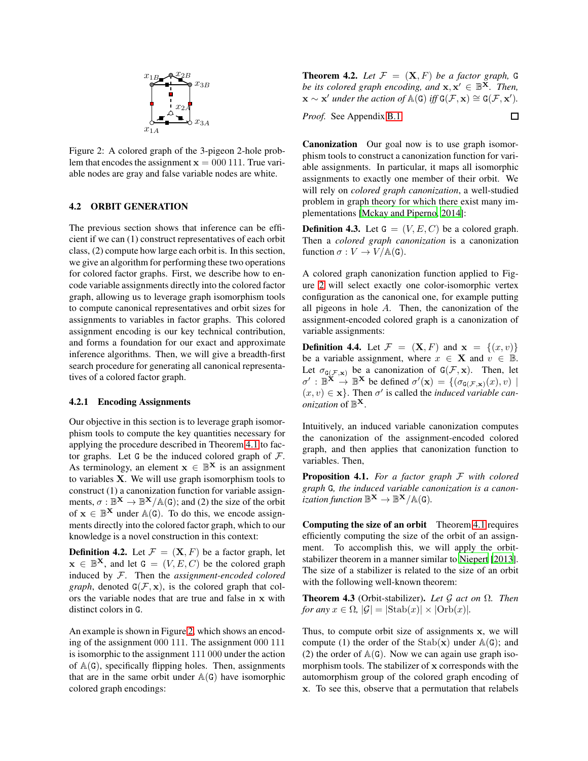<span id="page-4-0"></span>

Figure 2: A colored graph of the 3-pigeon 2-hole problem that encodes the assignment  $x = 000 111$ . True variable nodes are gray and false variable nodes are white.

### 4.2 ORBIT GENERATION

The previous section shows that inference can be efficient if we can (1) construct representatives of each orbit class, (2) compute how large each orbit is. In this section, we give an algorithm for performing these two operations for colored factor graphs. First, we describe how to encode variable assignments directly into the colored factor graph, allowing us to leverage graph isomorphism tools to compute canonical representatives and orbit sizes for assignments to variables in factor graphs. This colored assignment encoding is our key technical contribution, and forms a foundation for our exact and approximate inference algorithms. Then, we will give a breadth-first search procedure for generating all canonical representatives of a colored factor graph.

#### <span id="page-4-1"></span>4.2.1 Encoding Assignments

Our objective in this section is to leverage graph isomorphism tools to compute the key quantities necessary for applying the procedure described in Theorem [4.1](#page-3-1) to factor graphs. Let G be the induced colored graph of  $\mathcal{F}$ . As terminology, an element  $x \in \mathbb{B}^{X}$  is an assignment to variables X. We will use graph isomorphism tools to construct (1) a canonization function for variable assignments,  $\sigma : \mathbb{B}^{\mathbf{X}} \to \mathbb{B}^{\mathbf{X}}/\mathbb{A}(\mathsf{G})$ ; and (2) the size of the orbit of  $x \in \mathbb{B}^{X}$  under  $\mathbb{A}(G)$ . To do this, we encode assignments directly into the colored factor graph, which to our knowledge is a novel construction in this context:

**Definition 4.2.** Let  $\mathcal{F} = (\mathbf{X}, F)$  be a factor graph, let  $\mathbf{x} \in \mathbb{B}^{X}$ , and let  $\mathbf{G} = (V, E, C)$  be the colored graph induced by F. Then the *assignment-encoded colored graph*, denoted  $G(\mathcal{F}, \mathbf{x})$ , is the colored graph that colors the variable nodes that are true and false in x with distinct colors in G.

An example is shown in Figure [2,](#page-4-0) which shows an encoding of the assignment 000 111. The assignment 000 111 is isomorphic to the assignment 111 000 under the action of  $A(G)$ , specifically flipping holes. Then, assignments that are in the same orbit under  $A(G)$  have isomorphic colored graph encodings:

<span id="page-4-2"></span>**Theorem 4.2.** Let  $\mathcal{F} = (\mathbf{X}, F)$  be a factor graph, G *be its colored graph encoding, and*  $\mathbf{x}, \mathbf{x}' \in \mathbb{B}^{\mathbf{X}}$ *. Then,*  $\mathbf{x} \sim \mathbf{x}'$  *under the action of*  $\mathbb{A}(\mathsf{G})$  *iff*  $\mathsf{G}(\mathcal{F}, \mathbf{x}) \cong \mathsf{G}(\mathcal{F}, \mathbf{x}').$ 

*Proof.* See Appendix [B.1.](#page-11-1)

 $\Box$ 

Canonization Our goal now is to use graph isomorphism tools to construct a canonization function for variable assignments. In particular, it maps all isomorphic assignments to exactly one member of their orbit. We will rely on *colored graph canonization*, a well-studied problem in graph theory for which there exist many implementations [\[Mckay and Piperno, 2014\]](#page-9-20):

**Definition 4.3.** Let  $G = (V, E, C)$  be a colored graph. Then a *colored graph canonization* is a canonization function  $\sigma: V \to V/\mathbb{A}(\mathsf{G})$ .

A colored graph canonization function applied to Figure [2](#page-4-0) will select exactly one color-isomorphic vertex configuration as the canonical one, for example putting all pigeons in hole A. Then, the canonization of the assignment-encoded colored graph is a canonization of variable assignments:

**Definition 4.4.** Let  $\mathcal{F} = (\mathbf{X}, F)$  and  $\mathbf{x} = \{(x, v)\}\$ be a variable assignment, where  $x \in \mathbf{X}$  and  $v \in \mathbb{B}$ . Let  $\sigma_{G(\mathcal{F}, \mathbf{x})}$  be a canonization of  $G(\mathcal{F}, \mathbf{x})$ . Then, let  $\sigma' : \mathbb{B}^{\mathbf{X}} \to \mathbb{B}^{\mathbf{X}}$  be defined  $\sigma'(\mathbf{x}) = \{(\sigma_{\mathbf{G}(\mathcal{F}, \mathbf{x})}(x), v) \mid$  $(x, v) \in \mathbf{x}$ . Then  $\sigma'$  is called the *induced variable can*- $\overrightarrow{onization}$  of  $\mathbb{B}^{\mathbf{X}}$ .

Intuitively, an induced variable canonization computes the canonization of the assignment-encoded colored graph, and then applies that canonization function to variables. Then,

Proposition 4.1. *For a factor graph* F *with colored graph* G*, the induced variable canonization is a canonization function*  $\mathbb{B}^{\mathbf{X}} \to \mathbb{B}^{\mathbf{X}}/\mathbb{A}(\mathsf{G})$ .

Computing the size of an orbit Theorem [4.1](#page-3-1) requires efficiently computing the size of the orbit of an assignment. To accomplish this, we will apply the orbitstabilizer theorem in a manner similar to [Niepert \[2013](#page-9-9)]. The size of a stabilizer is related to the size of an orbit with the following well-known theorem:

Theorem 4.3 (Orbit-stabilizer). *Let* G *act on* Ω*. Then for any*  $x \in \Omega$ ,  $|\mathcal{G}| = |\text{Stab}(x)| \times |\text{Orb}(x)|$ .

Thus, to compute orbit size of assignments x, we will compute (1) the order of the  $Stab(x)$  under  $A(G)$ ; and (2) the order of  $A(G)$ . Now we can again use graph isomorphism tools. The stabilizer of x corresponds with the automorphism group of the colored graph encoding of x. To see this, observe that a permutation that relabels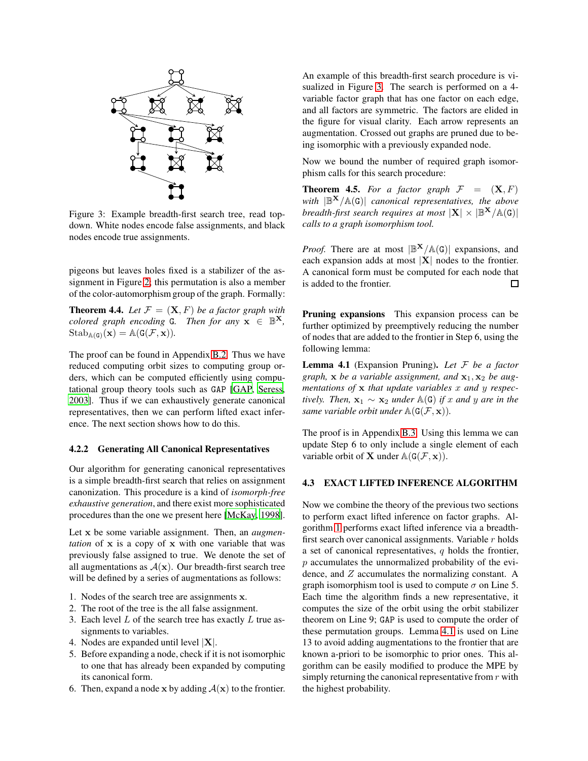<span id="page-5-0"></span>

Figure 3: Example breadth-first search tree, read topdown. White nodes encode false assignments, and black nodes encode true assignments.

pigeons but leaves holes fixed is a stabilizer of the assignment in Figure [2;](#page-4-0) this permutation is also a member of the color-automorphism group of the graph. Formally:

<span id="page-5-2"></span>**Theorem 4.4.** Let  $\mathcal{F} = (\mathbf{X}, F)$  be a factor graph with *colored graph encoding*  $G$ *. Then for any*  $\mathbf{x} \in \mathbb{B}^{\mathbf{X}}$ *,*  $\mathrm{Stab}_{\mathbb{A}(\mathsf{G})}(\mathbf{x}) = \mathbb{A}(\mathsf{G}(\mathcal{F},\mathbf{x})).$ 

The proof can be found in Appendix [B.2.](#page-11-2) Thus we have reduced computing orbit sizes to computing group orders, which can be computed efficiently using computational group theory tools such as GAP [\[GAP,](#page-9-11) [Seress](#page-10-1), [2003\]](#page-10-1). Thus if we can exhaustively generate canonical representatives, then we can perform lifted exact inference. The next section shows how to do this.

#### 4.2.2 Generating All Canonical Representatives

Our algorithm for generating canonical representatives is a simple breadth-first search that relies on assignment canonization. This procedure is a kind of *isomorph-free exhaustive generation*, and there exist more sophisticated procedures than the one we present here [\[McKay, 1998](#page-9-22)].

Let x be some variable assignment. Then, an *augmentation* of x is a copy of x with one variable that was previously false assigned to true. We denote the set of all augmentations as  $A(x)$ . Our breadth-first search tree will be defined by a series of augmentations as follows:

- 1. Nodes of the search tree are assignments x.
- 2. The root of the tree is the all false assignment.
- 3. Each level  $L$  of the search tree has exactly  $L$  true assignments to variables.
- 4. Nodes are expanded until level  $|X|$ .
- 5. Before expanding a node, check if it is not isomorphic to one that has already been expanded by computing its canonical form.
- 6. Then, expand a node x by adding  $A(x)$  to the frontier.

An example of this breadth-first search procedure is visualized in Figure [3.](#page-5-0) The search is performed on a 4 variable factor graph that has one factor on each edge, and all factors are symmetric. The factors are elided in the figure for visual clarity. Each arrow represents an augmentation. Crossed out graphs are pruned due to being isomorphic with a previously expanded node.

Now we bound the number of required graph isomorphism calls for this search procedure:

**Theorem 4.5.** For a factor graph  $F = (X, F)$ *with* |B <sup>X</sup>/A(G)| *canonical representatives, the above breadth-first search requires at most*  $|X| \times |\mathbb{B}^X/\mathbb{A}(G)|$ *calls to a graph isomorphism tool.*

*Proof.* There are at most  $|\mathbb{B}^{X}/\mathbb{A}(G)|$  expansions, and each expansion adds at most  $|\mathbf{X}|$  nodes to the frontier. A canonical form must be computed for each node that is added to the frontier.  $\Box$ 

Pruning expansions This expansion process can be further optimized by preemptively reducing the number of nodes that are added to the frontier in Step 6, using the following lemma:

<span id="page-5-1"></span>Lemma 4.1 (Expansion Pruning). *Let* F *be a factor graph,*  $x$  *be a variable assignment, and*  $x_1$ ,  $x_2$  *be augmentations of* x *that update variables* x *and* y *respectively. Then,*  $\mathbf{x}_1$  ∼  $\mathbf{x}_2$  *under*  $\mathbb{A}(G)$  *if* x *and* y are *in the same variable orbit under*  $\mathbb{A}(\mathsf{G}(\mathcal{F}, \mathbf{x}))$ *.* 

The proof is in Appendix [B.3.](#page-11-3) Using this lemma we can update Step 6 to only include a single element of each variable orbit of **X** under  $\mathbb{A}(G(\mathcal{F}, \mathbf{x}))$ .

#### 4.3 EXACT LIFTED INFERENCE ALGORITHM

Now we combine the theory of the previous two sections to perform exact lifted inference on factor graphs. Algorithm [1](#page-6-1) performs exact lifted inference via a breadthfirst search over canonical assignments. Variable  $r$  holds a set of canonical representatives,  $q$  holds the frontier, p accumulates the unnormalized probability of the evidence, and Z accumulates the normalizing constant. A graph isomorphism tool is used to compute  $\sigma$  on Line 5. Each time the algorithm finds a new representative, it computes the size of the orbit using the orbit stabilizer theorem on Line 9; GAP is used to compute the order of these permutation groups. Lemma [4.1](#page-5-1) is used on Line 13 to avoid adding augmentations to the frontier that are known a-priori to be isomorphic to prior ones. This algorithm can be easily modified to produce the MPE by simply returning the canonical representative from  $r$  with the highest probability.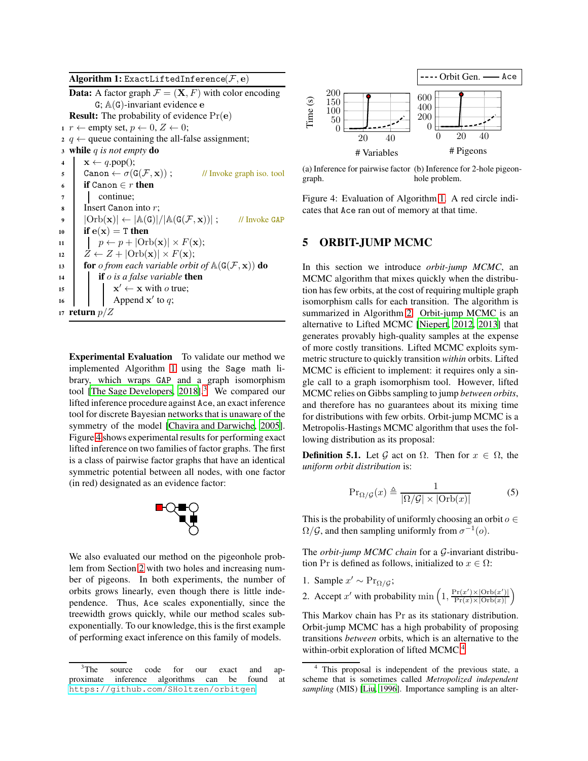Algorithm 1: ExactLiftedInference( $\mathcal{F},$ e)

**Data:** A factor graph  $\mathcal{F} = (\mathbf{X}, F)$  with color encoding G;  $A(G)$ -invariant evidence  $e$ **Result:** The probability of evidence  $Pr(e)$ 1  $r \leftarrow$  empty set,  $p \leftarrow 0, Z \leftarrow 0;$ 2 q  $\leftarrow$  queue containing the all-false assignment; <sup>3</sup> while q *is not empty* do 4  $\mathbf{x} \leftarrow q.\text{pop}$ (); 5 Canon  $\leftarrow \sigma(G(\mathcal{F}, \mathbf{x}))$ ; // Invoke graph iso. tool 6 if Canon  $\in r$  then <sup>7</sup> continue; <sup>8</sup> Insert Canon into r;  $\emptyset$  |  $|\text{Orb}(\mathbf{x})| \leftarrow |\mathbb{A}(\mathsf{G})|/|\mathbb{A}(\mathsf{G}(\mathcal{F}, \mathbf{x}))|$  ; // Invoke GAP 10 if  $e(x) = T$  then 11  $\vert p \leftarrow p + |Orb(\mathbf{x})| \times F(\mathbf{x});$  $12 \mid Z \leftarrow Z + |\text{Orb}(\mathbf{x})| \times F(\mathbf{x});$ 13 **for** *o from each variable orbit of*  $\mathbb{A}(\mathsf{G}(\mathcal{F}, \mathbf{x}))$  **do** <sup>14</sup> if o *is a false variable* then  $15$   $\mathbf{X}$  $\mathbf{x}' \leftarrow \mathbf{x}$  with *o* true;  $16$  | | Append x' to q; 17 return  $p/Z$ 

<span id="page-6-1"></span>Experimental Evaluation To validate our method we implemented Algorithm [1](#page-6-1) using the Sage math library, which wraps GAP and a graph isomorphism tool [\[The Sage Developers, 2018](#page-10-2)].<sup>[3](#page-6-2)</sup> We compared our lifted inference procedure against Ace, an exact inference tool for discrete Bayesian networks that is unaware of the symmetry of the model [\[Chavira and Darwiche, 2005](#page-9-23)]. Figure [4](#page-6-3) shows experimental results for performing exact lifted inference on two families of factor graphs. The first is a class of pairwise factor graphs that have an identical symmetric potential between all nodes, with one factor (in red) designated as an evidence factor:



We also evaluated our method on the pigeonhole problem from Section [2](#page-1-3) with two holes and increasing number of pigeons. In both experiments, the number of orbits grows linearly, even though there is little independence. Thus, Ace scales exponentially, since the treewidth grows quickly, while our method scales subexponentially. To our knowledge, this is the first example of performing exact inference on this family of models.

<span id="page-6-3"></span>

(a) Inference for pairwise factor (b) Inference for 2-hole pigeongraph. hole problem.

Figure 4: Evaluation of Algorithm [1.](#page-6-1) A red circle indicates that Ace ran out of memory at that time.

## <span id="page-6-0"></span>5 ORBIT-JUMP MCMC

In this section we introduce *orbit-jump MCMC*, an MCMC algorithm that mixes quickly when the distribution has few orbits, at the cost of requiring multiple graph isomorphism calls for each transition. The algorithm is summarized in Algorithm [2.](#page-7-0) Orbit-jump MCMC is an alternative to Lifted MCMC [\[Niepert, 2012,](#page-9-8) [2013\]](#page-9-9) that generates provably high-quality samples at the expense of more costly transitions. Lifted MCMC exploits symmetric structure to quickly transition *within* orbits. Lifted MCMC is efficient to implement: it requires only a single call to a graph isomorphism tool. However, lifted MCMC relies on Gibbs sampling to jump *between orbits*, and therefore has no guarantees about its mixing time for distributions with few orbits. Orbit-jump MCMC is a Metropolis-Hastings MCMC algorithm that uses the following distribution as its proposal:

**Definition 5.1.** Let G act on  $\Omega$ . Then for  $x \in \Omega$ , the *uniform orbit distribution* is:

$$
\Pr_{\Omega/\mathcal{G}}(x) \triangleq \frac{1}{|\Omega/\mathcal{G}| \times |\text{Orb}(x)|} \tag{5}
$$

This is the probability of uniformly choosing an orbit  $o \in$  $\Omega/\mathcal{G}$ , and then sampling uniformly from  $\sigma^{-1}(o)$ .

The *orbit-jump MCMC chain* for a G-invariant distribution Pr is defined as follows, initialized to  $x \in \Omega$ :

- 1. Sample  $x' \sim Pr_{\Omega/G}$ ;
- 2. Accept x' with probability min  $\left(1, \frac{\Pr(x') \times |\text{Orb}(x')|}{\Pr(x) \times |\text{Orb}(x)|}\right)$  $\frac{\Pr(x')\times|\text{Orb}(x')|}{\Pr(x)\times|\text{Orb}(x)|}$

This Markov chain has Pr as its stationary distribution. Orbit-jump MCMC has a high probability of proposing transitions *between* orbits, which is an alternative to the within-orbit exploration of lifted MCMC.<sup>[4](#page-6-4)</sup>

<span id="page-6-2"></span><sup>&</sup>lt;sup>3</sup>The source code for our exact and approximate inference algorithms can be found at <https://github.com/SHoltzen/orbitgen>.

<span id="page-6-4"></span><sup>4</sup> This proposal is independent of the previous state, a scheme that is sometimes called *Metropolized independent sampling* (MIS) [\[Liu, 1996](#page-9-24)]. Importance sampling is an alter-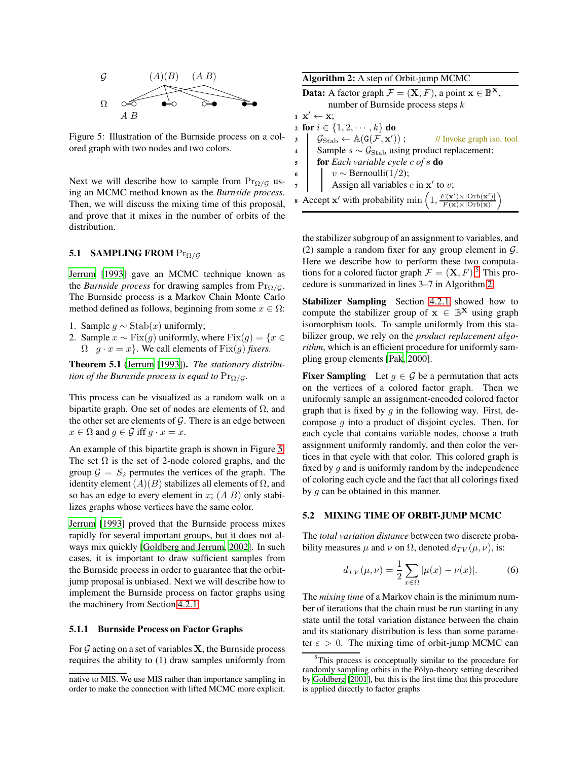<span id="page-7-1"></span>

Figure 5: Illustration of the Burnside process on a colored graph with two nodes and two colors.

Next we will describe how to sample from  $Pr_{\Omega/G}$  using an MCMC method known as the *Burnside process*. Then, we will discuss the mixing time of this proposal, and prove that it mixes in the number of orbits of the distribution.

#### 5.1 SAMPLING FROM  $Pr_{\Omega/G}$

[Jerrum \[1993\]](#page-9-16) gave an MCMC technique known as the *Burnside process* for drawing samples from  $Pr_{\Omega/G}$ . The Burnside process is a Markov Chain Monte Carlo method defined as follows, beginning from some  $x \in \Omega$ :

- 1. Sample  $g \sim$  Stab $(x)$  uniformly;
- 2. Sample  $x \sim Fix(g)$  uniformly, where  $Fix(g) = \{x \in$  $\Omega | g \cdot x = x$ . We call elements of Fix(q) *fixers*.

Theorem 5.1 [\(Jerrum](#page-9-16) [\[1993\]](#page-9-16)). *The stationary distribution of the Burnside process is equal to*  $Pr_{\Omega/G}$ *.* 

This process can be visualized as a random walk on a bipartite graph. One set of nodes are elements of  $\Omega$ , and the other set are elements of  $\mathcal G$ . There is an edge between  $x \in \Omega$  and  $g \in \mathcal{G}$  iff  $g \cdot x = x$ .

An example of this bipartite graph is shown in Figure [5.](#page-7-1) The set  $\Omega$  is the set of 2-node colored graphs, and the group  $G = S_2$  permutes the vertices of the graph. The identity element  $(A)(B)$  stabilizes all elements of  $\Omega$ , and so has an edge to every element in  $x$ ;  $(A \ B)$  only stabilizes graphs whose vertices have the same color.

[Jerrum](#page-9-16) [\[1993\]](#page-9-16) proved that the Burnside process mixes rapidly for several important groups, but it does not always mix quickly [\[Goldberg and Jerrum, 2002\]](#page-9-25). In such cases, it is important to draw sufficient samples from the Burnside process in order to guarantee that the orbitjump proposal is unbiased. Next we will describe how to implement the Burnside process on factor graphs using the machinery from Section [4.2.1.](#page-4-1)

#### 5.1.1 Burnside Process on Factor Graphs

For  $G$  acting on a set of variables  $X$ , the Burnside process requires the ability to (1) draw samples uniformly from

<span id="page-7-0"></span>

| <b>Algorithm 2:</b> A step of Orbit-jump MCMC                                                                                      |  |  |
|------------------------------------------------------------------------------------------------------------------------------------|--|--|
| <b>Data:</b> A factor graph $\mathcal{F} = (\mathbf{X}, F)$ , a point $\mathbf{x} \in \mathbb{B}^{\mathbf{X}}$ ,                   |  |  |
| number of Burnside process steps $k$                                                                                               |  |  |
| $1 \mathbf{X}' \leftarrow \mathbf{X}$                                                                                              |  |  |
| 2 for $i \in \{1, 2, \dots, k\}$ do                                                                                                |  |  |
| $\mathcal{G}_{\text{Stab}} \leftarrow \mathbb{A}(\texttt{G}(\mathcal{F}, \textbf{x}'))$ ;<br>// Invoke graph iso. tool<br>3        |  |  |
| Sample $s \sim \mathcal{G}_{\text{Stab}}$ using product replacement;<br>$\overline{\mathbf{4}}$                                    |  |  |
| for Each variable cycle $c$ of $s$ do<br>5                                                                                         |  |  |
| $v \sim$ Bernoulli(1/2);<br>6                                                                                                      |  |  |
| Assign all variables $c$ in $x'$ to $v$ ;                                                                                          |  |  |
| <b>s</b> Accept <b>x'</b> with probability min $\left(1, \frac{F(x') \times  \text{Orb}(x') }{F(x) \times  \text{Orb}(x) }\right)$ |  |  |

the stabilizer subgroup of an assignment to variables, and (2) sample a random fixer for any group element in  $G$ . Here we describe how to perform these two computations for a colored factor graph  $\mathcal{F} = (\mathbf{X}, F)$ .<sup>[5](#page-7-2)</sup> This procedure is summarized in lines 3–7 in Algorithm [2.](#page-7-0)

Stabilizer Sampling Section [4.2.1](#page-4-1) showed how to compute the stabilizer group of  $x \in \mathbb{B}^{X}$  using graph isomorphism tools. To sample uniformly from this stabilizer group, we rely on the *product replacement algorithm*, which is an efficient procedure for uniformly sampling group elements [\[Pak, 2000\]](#page-9-26).

**Fixer Sampling** Let  $g \in \mathcal{G}$  be a permutation that acts on the vertices of a colored factor graph. Then we uniformly sample an assignment-encoded colored factor graph that is fixed by  $q$  in the following way. First, decompose  $g$  into a product of disjoint cycles. Then, for each cycle that contains variable nodes, choose a truth assignment uniformly randomly, and then color the vertices in that cycle with that color. This colored graph is fixed by  $g$  and is uniformly random by the independence of coloring each cycle and the fact that all colorings fixed by g can be obtained in this manner.

#### 5.2 MIXING TIME OF ORBIT-JUMP MCMC

The *total variation distance* between two discrete probability measures  $\mu$  and  $\nu$  on  $\Omega$ , denoted  $d_{TV}(\mu, \nu)$ , is:

$$
d_{TV}(\mu, \nu) = \frac{1}{2} \sum_{x \in \Omega} |\mu(x) - \nu(x)|.
$$
 (6)

The *mixing time* of a Markov chain is the minimum number of iterations that the chain must be run starting in any state until the total variation distance between the chain and its stationary distribution is less than some parameter  $\varepsilon > 0$ . The mixing time of orbit-jump MCMC can

native to MIS. We use MIS rather than importance sampling in order to make the connection with lifted MCMC more explicit.

<span id="page-7-2"></span><sup>&</sup>lt;sup>5</sup>This process is conceptually similar to the procedure for randomly sampling orbits in the Pólya-theory setting described by [Goldberg \[2001\]](#page-9-27), but this is the first time that this procedure is applied directly to factor graphs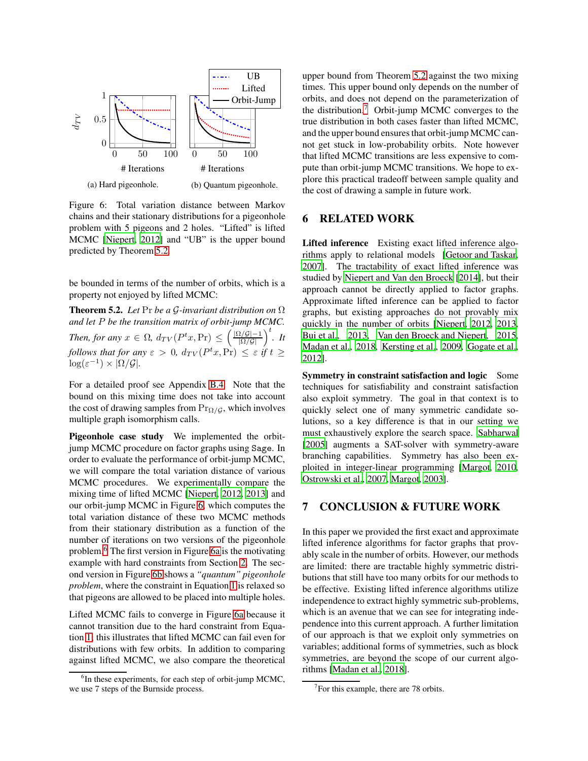<span id="page-8-1"></span>

Figure 6: Total variation distance between Markov chains and their stationary distributions for a pigeonhole problem with 5 pigeons and 2 holes. "Lifted" is lifted MCMC [\[Niepert](#page-9-8), [2012\]](#page-9-8) and "UB" is the upper bound predicted by Theorem [5.2.](#page-8-0)

be bounded in terms of the number of orbits, which is a property not enjoyed by lifted MCMC:

<span id="page-8-0"></span>Theorem 5.2. *Let* Pr *be a* G*-invariant distribution on* Ω *and let* P *be the transition matrix of orbit-jump MCMC. Then, for any*  $x \in \Omega$ ,  $d_{TV}(P^t x, Pr) \leq \left(\frac{|\Omega/\mathcal{G}|-1}{|\Omega/\mathcal{G}|}\right)^t$ . It *follows that for any*  $\varepsilon > 0$ ,  $d_{TV}(P^t x, \Pr) \leq \varepsilon$  if  $t \geq$  $\log(\varepsilon^{-1}) \times |\Omega/\mathcal{G}|.$ 

For a detailed proof see Appendix [B.4.](#page-11-4) Note that the bound on this mixing time does not take into account the cost of drawing samples from  $Pr_{\Omega/G}$ , which involves multiple graph isomorphism calls.

Pigeonhole case study We implemented the orbitjump MCMC procedure on factor graphs using Sage. In order to evaluate the performance of orbit-jump MCMC, we will compare the total variation distance of various MCMC procedures. We experimentally compare the mixing time of lifted MCMC [\[Niepert, 2012](#page-9-8), [2013\]](#page-9-9) and our orbit-jump MCMC in Figure [6,](#page-8-1) which computes the total variation distance of these two MCMC methods from their stationary distribution as a function of the number of iterations on two versions of the pigeonhole problem.[6](#page-8-2) The first version in Figure [6a](#page-8-1) is the motivating example with hard constraints from Section [2.](#page-1-3) The second version in Figure [6b](#page-8-1) shows a *"quantum" pigeonhole problem*, where the constraint in Equation [1](#page-1-1) is relaxed so that pigeons are allowed to be placed into multiple holes.

Lifted MCMC fails to converge in Figure [6a](#page-8-1) because it cannot transition due to the hard constraint from Equation [1;](#page-1-1) this illustrates that lifted MCMC can fail even for distributions with few orbits. In addition to comparing against lifted MCMC, we also compare the theoretical upper bound from Theorem [5.2](#page-8-0) against the two mixing times. This upper bound only depends on the number of orbits, and does not depend on the parameterization of the distribution.[7](#page-8-3) Orbit-jump MCMC converges to the true distribution in both cases faster than lifted MCMC, and the upper bound ensures that orbit-jump MCMC cannot get stuck in low-probability orbits. Note however that lifted MCMC transitions are less expensive to compute than orbit-jump MCMC transitions. We hope to explore this practical tradeoff between sample quality and the cost of drawing a sample in future work.

### 6 RELATED WORK

Lifted inference Existing exact lifted inference algorithms apply to relational models [\[Getoor and Taskar,](#page-9-6) [2007\]](#page-9-6). The tractability of exact lifted inference was studied by [Niepert and Van den Broeck \[2014](#page-9-5)], but their approach cannot be directly applied to factor graphs. Approximate lifted inference can be applied to factor graphs, but existing approaches do not provably mix quickly in the number of orbits [\[Niepert, 2012,](#page-9-8) [2013,](#page-9-9) [Bui et al.](#page-9-10), [2013,](#page-9-10) [Van den Broeck and Niepert, 2015,](#page-10-3) [Madan et al., 2018](#page-9-28), [Kersting et al., 2009](#page-9-7), [Gogate et al.,](#page-9-29) [2012\]](#page-9-29).

Symmetry in constraint satisfaction and logic Some techniques for satisfiability and constraint satisfaction also exploit symmetry. The goal in that context is to quickly select one of many symmetric candidate solutions, so a key difference is that in our setting we must exhaustively explore the search space. [Sabharwal](#page-9-13) [\[2005\]](#page-9-13) augments a SAT-solver with symmetry-aware branching capabilities. Symmetry has also been exploited in integer-linear programming [\[Margot](#page-9-30), [2010,](#page-9-30) [Ostrowski et al., 2007,](#page-9-31) [Margot, 2003\]](#page-9-32).

## 7 CONCLUSION & FUTURE WORK

In this paper we provided the first exact and approximate lifted inference algorithms for factor graphs that provably scale in the number of orbits. However, our methods are limited: there are tractable highly symmetric distributions that still have too many orbits for our methods to be effective. Existing lifted inference algorithms utilize independence to extract highly symmetric sub-problems, which is an avenue that we can see for integrating independence into this current approach. A further limitation of our approach is that we exploit only symmetries on variables; additional forms of symmetries, such as block symmetries, are beyond the scope of our current algorithms [\[Madan et al., 2018\]](#page-9-28).

<span id="page-8-2"></span><sup>&</sup>lt;sup>6</sup>In these experiments, for each step of orbit-jump MCMC, we use 7 steps of the Burnside process.

<span id="page-8-3"></span><sup>&</sup>lt;sup>7</sup>For this example, there are 78 orbits.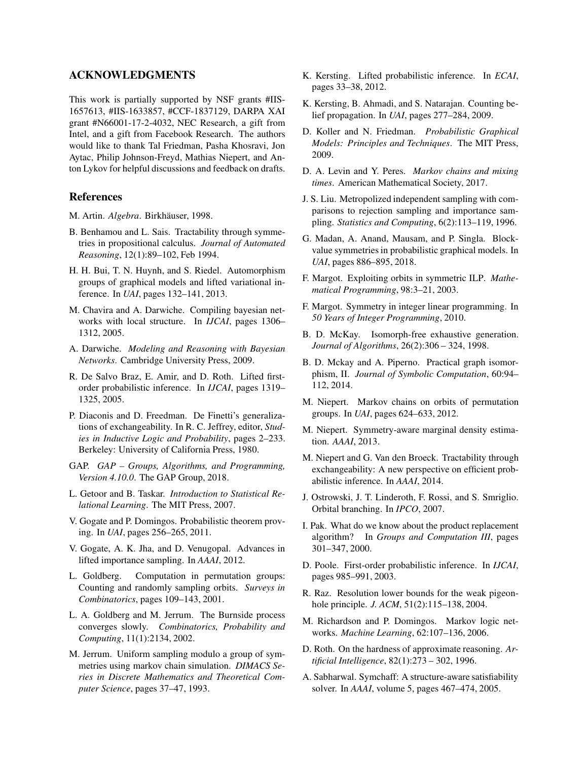## ACKNOWLEDGMENTS

This work is partially supported by NSF grants #IIS-1657613, #IIS-1633857, #CCF-1837129, DARPA XAI grant #N66001-17-2-4032, NEC Research, a gift from Intel, and a gift from Facebook Research. The authors would like to thank Tal Friedman, Pasha Khosravi, Jon Aytac, Philip Johnson-Freyd, Mathias Niepert, and Anton Lykov for helpful discussions and feedback on drafts.

### References

- <span id="page-9-17"></span>M. Artin. *Algebra*. Birkhäuser, 1998.
- <span id="page-9-12"></span>B. Benhamou and L. Sais. Tractability through symmetries in propositional calculus. *Journal of Automated Reasoning*, 12(1):89–102, Feb 1994.
- <span id="page-9-10"></span>H. H. Bui, T. N. Huynh, and S. Riedel. Automorphism groups of graphical models and lifted variational inference. In *UAI*, pages 132–141, 2013.
- <span id="page-9-23"></span>M. Chavira and A. Darwiche. Compiling bayesian networks with local structure. In *IJCAI*, pages 1306– 1312, 2005.
- <span id="page-9-2"></span>A. Darwiche. *Modeling and Reasoning with Bayesian Networks*. Cambridge University Press, 2009.
- <span id="page-9-18"></span>R. De Salvo Braz, E. Amir, and D. Roth. Lifted firstorder probabilistic inference. In *IJCAI*, pages 1319– 1325, 2005.
- <span id="page-9-21"></span>P. Diaconis and D. Freedman. De Finetti's generalizations of exchangeability. In R. C. Jeffrey, editor, *Studies in Inductive Logic and Probability*, pages 2–233. Berkeley: University of California Press, 1980.
- <span id="page-9-11"></span>GAP. *GAP – Groups, Algorithms, and Programming, Version 4.10.0*. The GAP Group, 2018.
- <span id="page-9-6"></span>L. Getoor and B. Taskar. *Introduction to Statistical Relational Learning*. The MIT Press, 2007.
- <span id="page-9-19"></span>V. Gogate and P. Domingos. Probabilistic theorem proving. In *UAI*, pages 256–265, 2011.
- <span id="page-9-29"></span>V. Gogate, A. K. Jha, and D. Venugopal. Advances in lifted importance sampling. In *AAAI*, 2012.
- <span id="page-9-27"></span>L. Goldberg. Computation in permutation groups: Counting and randomly sampling orbits. *Surveys in Combinatorics*, pages 109–143, 2001.
- <span id="page-9-25"></span>L. A. Goldberg and M. Jerrum. The Burnside process converges slowly. *Combinatorics, Probability and Computing*, 11(1):2134, 2002.
- <span id="page-9-16"></span>M. Jerrum. Uniform sampling modulo a group of symmetries using markov chain simulation. *DIMACS Series in Discrete Mathematics and Theoretical Computer Science*, pages 37–47, 1993.
- <span id="page-9-4"></span>K. Kersting. Lifted probabilistic inference. In *ECAI*, pages 33–38, 2012.
- <span id="page-9-7"></span>K. Kersting, B. Ahmadi, and S. Natarajan. Counting belief propagation. In *UAI*, pages 277–284, 2009.
- <span id="page-9-1"></span>D. Koller and N. Friedman. *Probabilistic Graphical Models: Principles and Techniques*. The MIT Press, 2009.
- <span id="page-9-33"></span>D. A. Levin and Y. Peres. *Markov chains and mixing times*. American Mathematical Society, 2017.
- <span id="page-9-24"></span>J. S. Liu. Metropolized independent sampling with comparisons to rejection sampling and importance sampling. *Statistics and Computing*, 6(2):113–119, 1996.
- <span id="page-9-28"></span>G. Madan, A. Anand, Mausam, and P. Singla. Blockvalue symmetries in probabilistic graphical models. In *UAI*, pages 886–895, 2018.
- <span id="page-9-32"></span>F. Margot. Exploiting orbits in symmetric ILP. *Mathematical Programming*, 98:3–21, 2003.
- <span id="page-9-30"></span>F. Margot. Symmetry in integer linear programming. In *50 Years of Integer Programming*, 2010.
- <span id="page-9-22"></span>B. D. McKay. Isomorph-free exhaustive generation. *Journal of Algorithms*, 26(2):306 – 324, 1998.
- <span id="page-9-20"></span>B. D. Mckay and A. Piperno. Practical graph isomorphism, II. *Journal of Symbolic Computation*, 60:94– 112, 2014.
- <span id="page-9-8"></span>M. Niepert. Markov chains on orbits of permutation groups. In *UAI*, pages 624–633, 2012.
- <span id="page-9-9"></span>M. Niepert. Symmetry-aware marginal density estimation. *AAAI*, 2013.
- <span id="page-9-5"></span>M. Niepert and G. Van den Broeck. Tractability through exchangeability: A new perspective on efficient probabilistic inference. In *AAAI*, 2014.
- <span id="page-9-31"></span>J. Ostrowski, J. T. Linderoth, F. Rossi, and S. Smriglio. Orbital branching. In *IPCO*, 2007.
- <span id="page-9-26"></span>I. Pak. What do we know about the product replacement algorithm? In *Groups and Computation III*, pages 301–347, 2000.
- <span id="page-9-3"></span>D. Poole. First-order probabilistic inference. In *IJCAI*, pages 985–991, 2003.
- <span id="page-9-14"></span>R. Raz. Resolution lower bounds for the weak pigeonhole principle. *J. ACM*, 51(2):115–138, 2004.
- <span id="page-9-15"></span>M. Richardson and P. Domingos. Markov logic networks. *Machine Learning*, 62:107–136, 2006.
- <span id="page-9-0"></span>D. Roth. On the hardness of approximate reasoning. *Artificial Intelligence*, 82(1):273 – 302, 1996.
- <span id="page-9-13"></span>A. Sabharwal. Symchaff: A structure-aware satisfiability solver. In *AAAI*, volume 5, pages 467–474, 2005.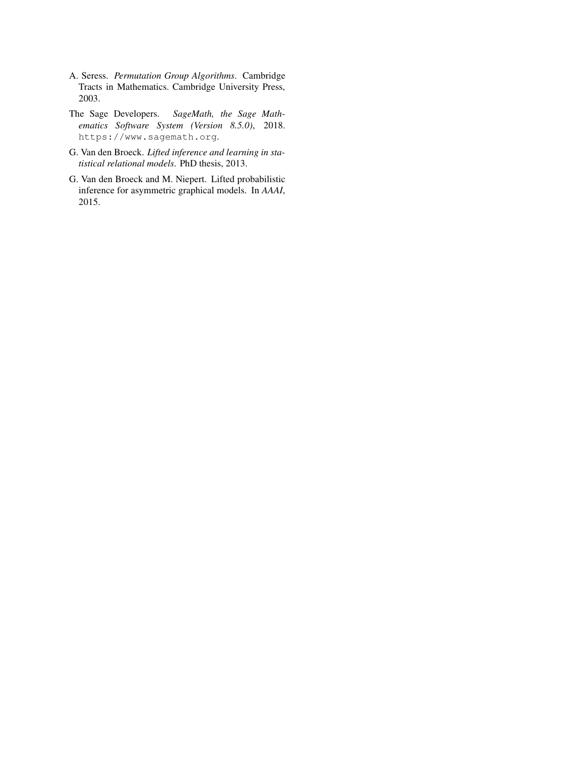- <span id="page-10-1"></span>A. Seress. *Permutation Group Algorithms*. Cambridge Tracts in Mathematics. Cambridge University Press, 2003.
- <span id="page-10-2"></span>The Sage Developers. *SageMath, the Sage Mathematics Software System (Version 8.5.0)*, 2018. https://www.sagemath.org.
- <span id="page-10-0"></span>G. Van den Broeck. *Lifted inference and learning in statistical relational models*. PhD thesis, 2013.
- <span id="page-10-3"></span>G. Van den Broeck and M. Niepert. Lifted probabilistic inference for asymmetric graphical models. In *AAAI*, 2015.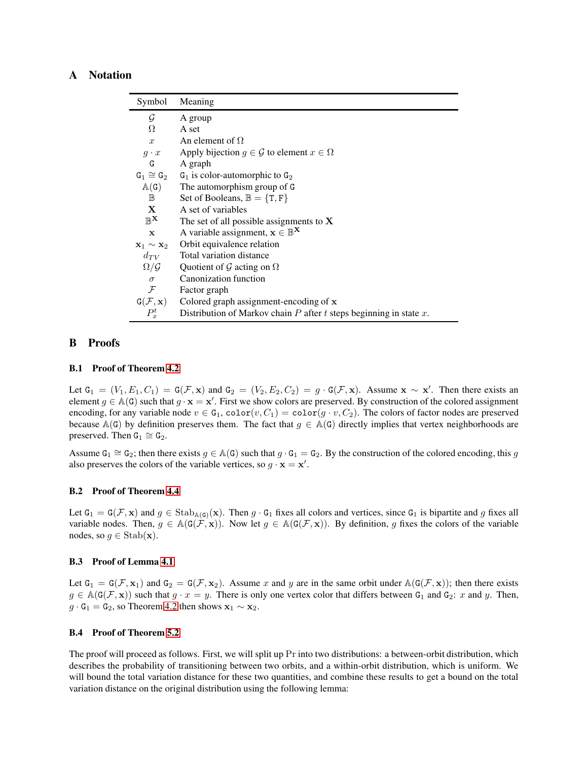## <span id="page-11-0"></span>A Notation

| Symbol                           | Meaning                                                                   |
|----------------------------------|---------------------------------------------------------------------------|
| G                                | A group                                                                   |
| Ω                                | A set                                                                     |
| $\mathcal{X}$                    | An element of $\Omega$                                                    |
|                                  | $g \cdot x$ Apply bijection $g \in \mathcal{G}$ to element $x \in \Omega$ |
| G                                | A graph                                                                   |
|                                  | $G_1 \cong G_2$ $G_1$ is color-automorphic to $G_2$                       |
| $\mathbb{A}(\mathsf{G})$         | The automorphism group of G                                               |
| $\mathbb B$                      | Set of Booleans, $\mathbb{B} = \{T, F\}$                                  |
| $\mathbf{X}$                     | A set of variables                                                        |
| $\mathbb{R}^{\mathbf{X}}$        | The set of all possible assignments to $X$                                |
| $\mathbf x$                      | A variable assignment, $x \in \mathbb{B}^{\mathbf{X}}$                    |
| $\mathbf{x}_1 \sim \mathbf{x}_2$ | Orbit equivalence relation                                                |
| $d_{TV}$                         | Total variation distance                                                  |
| $\Omega/\mathcal{G}$             | Quotient of G acting on $\Omega$                                          |
| $\sigma$                         | Canonization function                                                     |
| ${\cal F}$                       | Factor graph                                                              |
| $G(\mathcal{F},\mathbf{x})$      | Colored graph assignment-encoding of x                                    |
| $P_x^t$                          | Distribution of Markov chain $P$ after $t$ steps beginning in state $x$ . |

### <span id="page-11-1"></span>B Proofs

#### B.1 Proof of Theorem [4.2](#page-4-2)

Let  $G_1 = (V_1, E_1, C_1) = G(\mathcal{F}, \mathbf{x})$  and  $G_2 = (V_2, E_2, C_2) = g \cdot G(\mathcal{F}, \mathbf{x})$ . Assume  $\mathbf{x} \sim \mathbf{x}'$ . Then there exists an element  $g \in A(G)$  such that  $g \cdot x = x'$ . First we show colors are preserved. By construction of the colored assignment encoding, for any variable node  $v \in G_1$ ,  $color(v, C_1) = color(g \cdot v, C_2)$ . The colors of factor nodes are preserved because A(G) by definition preserves them. The fact that  $g \in A(G)$  directly implies that vertex neighborhoods are preserved. Then  $G_1 \cong G_2$ .

Assume  $G_1 \cong G_2$ ; then there exists  $g \in A(G)$  such that  $g \cdot G_1 = G_2$ . By the construction of the colored encoding, this g also preserves the colors of the variable vertices, so  $g \cdot \mathbf{x} = \mathbf{x}'$ .

### <span id="page-11-2"></span>B.2 Proof of Theorem [4.4](#page-5-2)

Let  $G_1 = G(\mathcal{F}, \mathbf{x})$  and  $g \in \text{Stab}_{\mathbb{A}(G)}(\mathbf{x})$ . Then  $g \cdot G_1$  fixes all colors and vertices, since  $G_1$  is bipartite and g fixes all variable nodes. Then,  $g \in \mathbb{A}(\mathsf{G}(\mathcal{F}, \mathbf{x}))$ . Now let  $g \in \mathbb{A}(\mathsf{G}(\mathcal{F}, \mathbf{x}))$ . By definition, g fixes the colors of the variable nodes, so  $g \in \text{Stab}(\mathbf{x})$ .

#### <span id="page-11-3"></span>B.3 Proof of Lemma [4.1](#page-5-1)

Let  $G_1 = G(\mathcal{F}, \mathbf{x}_1)$  and  $G_2 = G(\mathcal{F}, \mathbf{x}_2)$ . Assume x and y are in the same orbit under  $\mathbb{A}(G(\mathcal{F}, \mathbf{x}))$ ; then there exists  $g \in \mathbb{A}(\mathsf{G}(\mathcal{F}, \mathbf{x}))$  such that  $g \cdot x = y$ . There is only one vertex color that differs between  $\mathsf{G}_1$  and  $\mathsf{G}_2$ : x and y. Then,  $g \cdot G_1 = G_2$ , so Theorem [4.2](#page-4-2) then shows  $x_1 \sim x_2$ .

#### <span id="page-11-4"></span>B.4 Proof of Theorem [5.2](#page-8-0)

The proof will proceed as follows. First, we will split up Pr into two distributions: a between-orbit distribution, which describes the probability of transitioning between two orbits, and a within-orbit distribution, which is uniform. We will bound the total variation distance for these two quantities, and combine these results to get a bound on the total variation distance on the original distribution using the following lemma: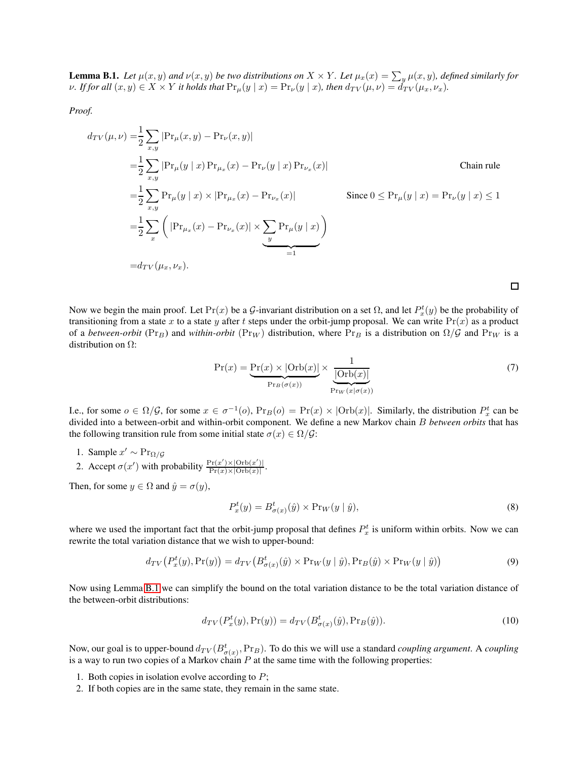<span id="page-12-0"></span>**Lemma B.1.** Let  $\mu(x, y)$  and  $\nu(x, y)$  be two distributions on  $X \times Y$ . Let  $\mu_x(x) = \sum_y \mu(x, y)$ , defined similarly for *v*. If for all  $(x, y) \in X \times Y$  it holds that  $\Pr_{\mu}(y | x) = \Pr_{\nu}(y | x)$ , then  $d_{TV}(\mu, \nu) = d_{TV}(\mu_x, \nu_x)$ .

*Proof.*

$$
d_{TV}(\mu, \nu) = \frac{1}{2} \sum_{x,y} |Pr_{\mu}(x, y) - Pr_{\nu}(x, y)|
$$
  
\n
$$
= \frac{1}{2} \sum_{x,y} |Pr_{\mu}(y | x) Pr_{\mu_x}(x) - Pr_{\nu}(y | x) Pr_{\nu_x}(x)|
$$
Chain rule  
\n
$$
= \frac{1}{2} \sum_{x,y} Pr_{\mu}(y | x) \times |Pr_{\mu_x}(x) - Pr_{\nu_x}(x)|
$$
Since  $0 \le Pr_{\mu}(y | x) = Pr_{\nu}(y | x) \le 1$   
\n
$$
= \frac{1}{2} \sum_{x} \left( |Pr_{\mu_x}(x) - Pr_{\nu_x}(x)| \times \sum_{y} Pr_{\mu}(y | x) \right)
$$
  
\n
$$
= d_{TV}(\mu_x, \nu_x).
$$

Now we begin the main proof. Let  $Pr(x)$  be a G-invariant distribution on a set  $\Omega$ , and let  $P_x^t(y)$  be the probability of transitioning from a state x to a state y after t steps under the orbit-jump proposal. We can write  $Pr(x)$  as a product of a *between-orbit* ( $Pr_B$ ) and *within-orbit* ( $Pr_W$ ) distribution, where  $Pr_B$  is a distribution on  $\Omega/G$  and  $Pr_W$  is a distribution on  $\Omega$ :

$$
\Pr(x) = \underbrace{\Pr(x) \times |\text{Orb}(x)|}_{\Pr_B(\sigma(x))} \times \underbrace{\frac{1}{|\text{Orb}(x)|}}_{\Pr_W(x|\sigma(x))}
$$
(7)

 $\Box$ 

I.e., for some  $o \in \Omega/\mathcal{G}$ , for some  $x \in \sigma^{-1}(o)$ ,  $Pr_B(o) = Pr(x) \times |Orb(x)|$ . Similarly, the distribution  $P_x^t$  can be divided into a between-orbit and within-orbit component. We define a new Markov chain B *between orbits* that has the following transition rule from some initial state  $\sigma(x) \in \Omega/\mathcal{G}$ :

- 1. Sample  $x' \sim \Pr_{\Omega/\mathcal{G}}$
- 2. Accept  $\sigma(x')$  with probability  $\frac{\Pr(x') \times |\text{Orb}(x')|}{\Pr(x) \times |\text{Orb}(x)|}$  $\frac{\Pr(x) \times |\text{Orb}(x)|}{\Pr(x) \times |\text{Orb}(x)|}.$

Then, for some  $y \in \Omega$  and  $\hat{y} = \sigma(y)$ ,

$$
P_x^t(y) = B_{\sigma(x)}^t(\hat{y}) \times \Pr_W(y \mid \hat{y}),\tag{8}
$$

where we used the important fact that the orbit-jump proposal that defines  $P_x^t$  is uniform within orbits. Now we can rewrite the total variation distance that we wish to upper-bound:

$$
d_{TV}\left(P_x^t(y), \Pr(y)\right) = d_{TV}\left(B_{\sigma(x)}^t(\hat{y}) \times \Pr_W(y \mid \hat{y}), \Pr_B(\hat{y}) \times \Pr_W(y \mid \hat{y})\right)
$$
(9)

Now using Lemma [B.1](#page-12-0) we can simplify the bound on the total variation distance to be the total variation distance of the between-orbit distributions:

$$
d_{TV}(P_x^t(y), \Pr(y)) = d_{TV}(B_{\sigma(x)}^t(\hat{y}), \Pr_B(\hat{y})).
$$
\n(10)

Now, our goal is to upper-bound  $d_{TV}(B^t_{\sigma(x)},Pr_B)$ . To do this we will use a standard *coupling argument*. A *coupling* is a way to run two copies of a Markov chain  $P$  at the same time with the following properties:

- 1. Both copies in isolation evolve according to  $P$ ;
- 2. If both copies are in the same state, they remain in the same state.